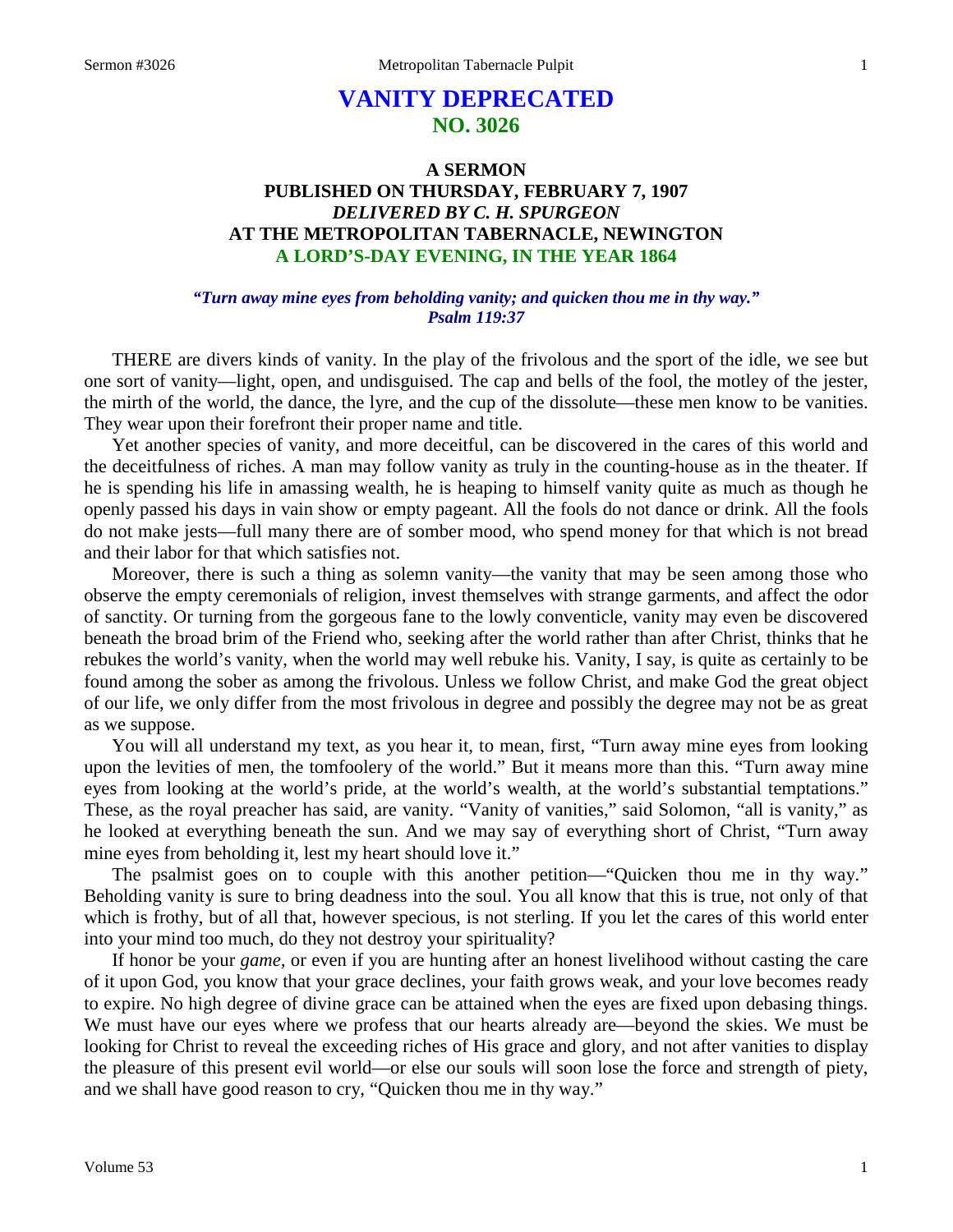# **VANITY DEPRECATED NO. 3026**

## **A SERMON PUBLISHED ON THURSDAY, FEBRUARY 7, 1907** *DELIVERED BY C. H. SPURGEON* **AT THE METROPOLITAN TABERNACLE, NEWINGTON A LORD'S-DAY EVENING, IN THE YEAR 1864**

## *"Turn away mine eyes from beholding vanity; and quicken thou me in thy way." Psalm 119:37*

THERE are divers kinds of vanity. In the play of the frivolous and the sport of the idle, we see but one sort of vanity—light, open, and undisguised. The cap and bells of the fool, the motley of the jester, the mirth of the world, the dance, the lyre, and the cup of the dissolute—these men know to be vanities. They wear upon their forefront their proper name and title.

Yet another species of vanity, and more deceitful, can be discovered in the cares of this world and the deceitfulness of riches. A man may follow vanity as truly in the counting-house as in the theater. If he is spending his life in amassing wealth, he is heaping to himself vanity quite as much as though he openly passed his days in vain show or empty pageant. All the fools do not dance or drink. All the fools do not make jests—full many there are of somber mood, who spend money for that which is not bread and their labor for that which satisfies not.

Moreover, there is such a thing as solemn vanity—the vanity that may be seen among those who observe the empty ceremonials of religion, invest themselves with strange garments, and affect the odor of sanctity. Or turning from the gorgeous fane to the lowly conventicle, vanity may even be discovered beneath the broad brim of the Friend who, seeking after the world rather than after Christ, thinks that he rebukes the world's vanity, when the world may well rebuke his. Vanity, I say, is quite as certainly to be found among the sober as among the frivolous. Unless we follow Christ, and make God the great object of our life, we only differ from the most frivolous in degree and possibly the degree may not be as great as we suppose.

You will all understand my text, as you hear it, to mean, first, "Turn away mine eyes from looking upon the levities of men, the tomfoolery of the world." But it means more than this. "Turn away mine eyes from looking at the world's pride, at the world's wealth, at the world's substantial temptations." These, as the royal preacher has said, are vanity. "Vanity of vanities," said Solomon, "all is vanity," as he looked at everything beneath the sun. And we may say of everything short of Christ, "Turn away mine eyes from beholding it, lest my heart should love it."

The psalmist goes on to couple with this another petition—"Quicken thou me in thy way." Beholding vanity is sure to bring deadness into the soul. You all know that this is true, not only of that which is frothy, but of all that, however specious, is not sterling. If you let the cares of this world enter into your mind too much, do they not destroy your spirituality?

If honor be your *game,* or even if you are hunting after an honest livelihood without casting the care of it upon God, you know that your grace declines, your faith grows weak, and your love becomes ready to expire. No high degree of divine grace can be attained when the eyes are fixed upon debasing things. We must have our eyes where we profess that our hearts already are—beyond the skies. We must be looking for Christ to reveal the exceeding riches of His grace and glory, and not after vanities to display the pleasure of this present evil world—or else our souls will soon lose the force and strength of piety, and we shall have good reason to cry, "Quicken thou me in thy way."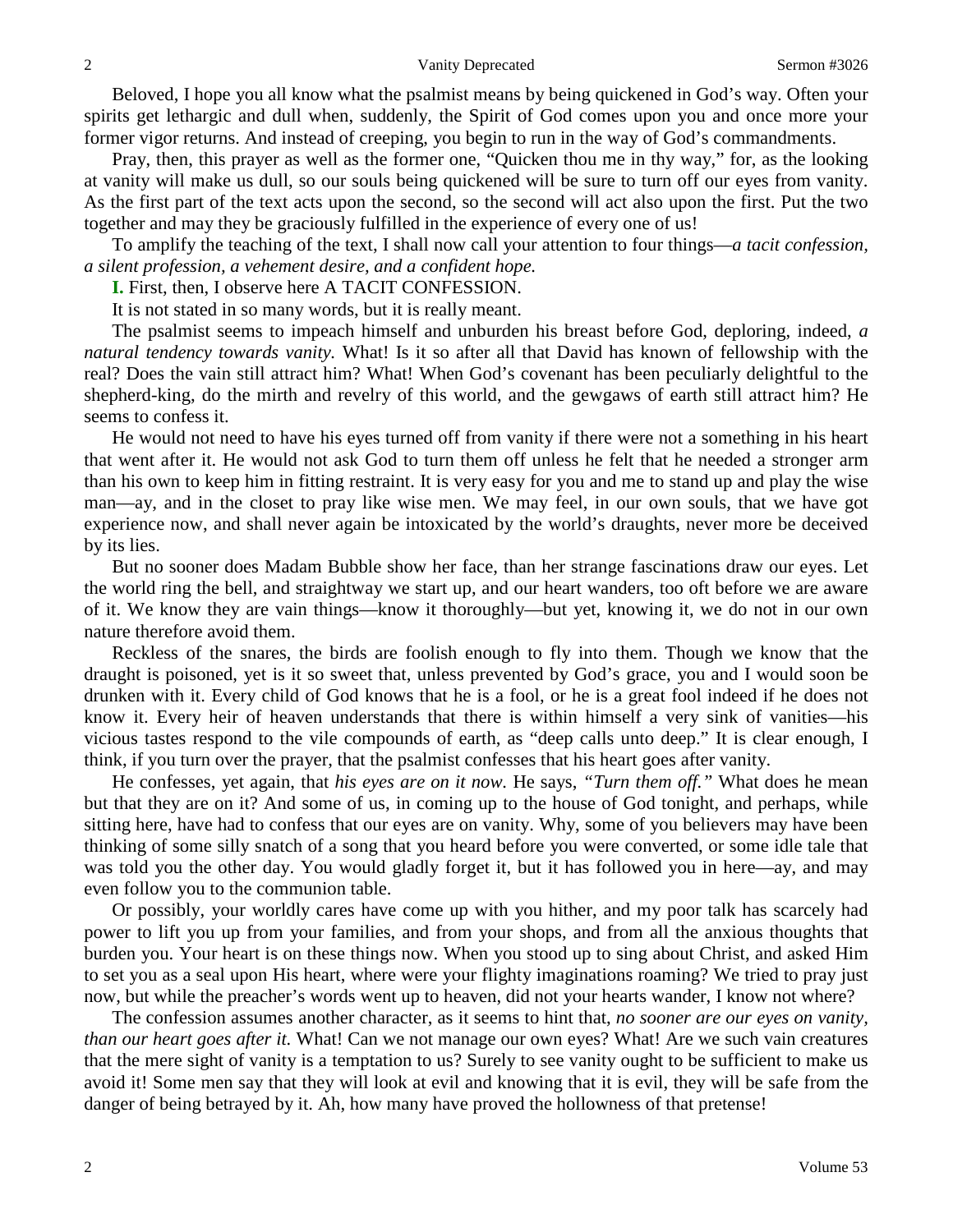Beloved, I hope you all know what the psalmist means by being quickened in God's way. Often your spirits get lethargic and dull when, suddenly, the Spirit of God comes upon you and once more your former vigor returns. And instead of creeping, you begin to run in the way of God's commandments.

Pray, then, this prayer as well as the former one, "Quicken thou me in thy way," for, as the looking at vanity will make us dull, so our souls being quickened will be sure to turn off our eyes from vanity. As the first part of the text acts upon the second, so the second will act also upon the first. Put the two together and may they be graciously fulfilled in the experience of every one of us!

To amplify the teaching of the text, I shall now call your attention to four things—*a tacit confession, a silent profession, a vehement desire, and a confident hope.*

**I.** First, then, I observe here A TACIT CONFESSION.

It is not stated in so many words, but it is really meant.

The psalmist seems to impeach himself and unburden his breast before God, deploring, indeed, *a natural tendency towards vanity.* What! Is it so after all that David has known of fellowship with the real? Does the vain still attract him? What! When God's covenant has been peculiarly delightful to the shepherd-king, do the mirth and revelry of this world, and the gewgaws of earth still attract him? He seems to confess it.

He would not need to have his eyes turned off from vanity if there were not a something in his heart that went after it. He would not ask God to turn them off unless he felt that he needed a stronger arm than his own to keep him in fitting restraint. It is very easy for you and me to stand up and play the wise man—ay, and in the closet to pray like wise men. We may feel, in our own souls, that we have got experience now, and shall never again be intoxicated by the world's draughts, never more be deceived by its lies.

But no sooner does Madam Bubble show her face, than her strange fascinations draw our eyes. Let the world ring the bell, and straightway we start up, and our heart wanders, too oft before we are aware of it. We know they are vain things—know it thoroughly—but yet, knowing it, we do not in our own nature therefore avoid them.

Reckless of the snares, the birds are foolish enough to fly into them. Though we know that the draught is poisoned, yet is it so sweet that, unless prevented by God's grace, you and I would soon be drunken with it. Every child of God knows that he is a fool, or he is a great fool indeed if he does not know it. Every heir of heaven understands that there is within himself a very sink of vanities—his vicious tastes respond to the vile compounds of earth, as "deep calls unto deep." It is clear enough, I think, if you turn over the prayer, that the psalmist confesses that his heart goes after vanity.

He confesses, yet again, that *his eyes are on it now.* He says, *"Turn them off."* What does he mean but that they are on it? And some of us, in coming up to the house of God tonight, and perhaps, while sitting here, have had to confess that our eyes are on vanity. Why, some of you believers may have been thinking of some silly snatch of a song that you heard before you were converted, or some idle tale that was told you the other day. You would gladly forget it, but it has followed you in here—ay, and may even follow you to the communion table.

Or possibly, your worldly cares have come up with you hither, and my poor talk has scarcely had power to lift you up from your families, and from your shops, and from all the anxious thoughts that burden you. Your heart is on these things now. When you stood up to sing about Christ, and asked Him to set you as a seal upon His heart, where were your flighty imaginations roaming? We tried to pray just now, but while the preacher's words went up to heaven, did not your hearts wander, I know not where?

The confession assumes another character, as it seems to hint that, *no sooner are our eyes on vanity, than our heart goes after it.* What! Can we not manage our own eyes? What! Are we such vain creatures that the mere sight of vanity is a temptation to us? Surely to see vanity ought to be sufficient to make us avoid it! Some men say that they will look at evil and knowing that it is evil, they will be safe from the danger of being betrayed by it. Ah, how many have proved the hollowness of that pretense!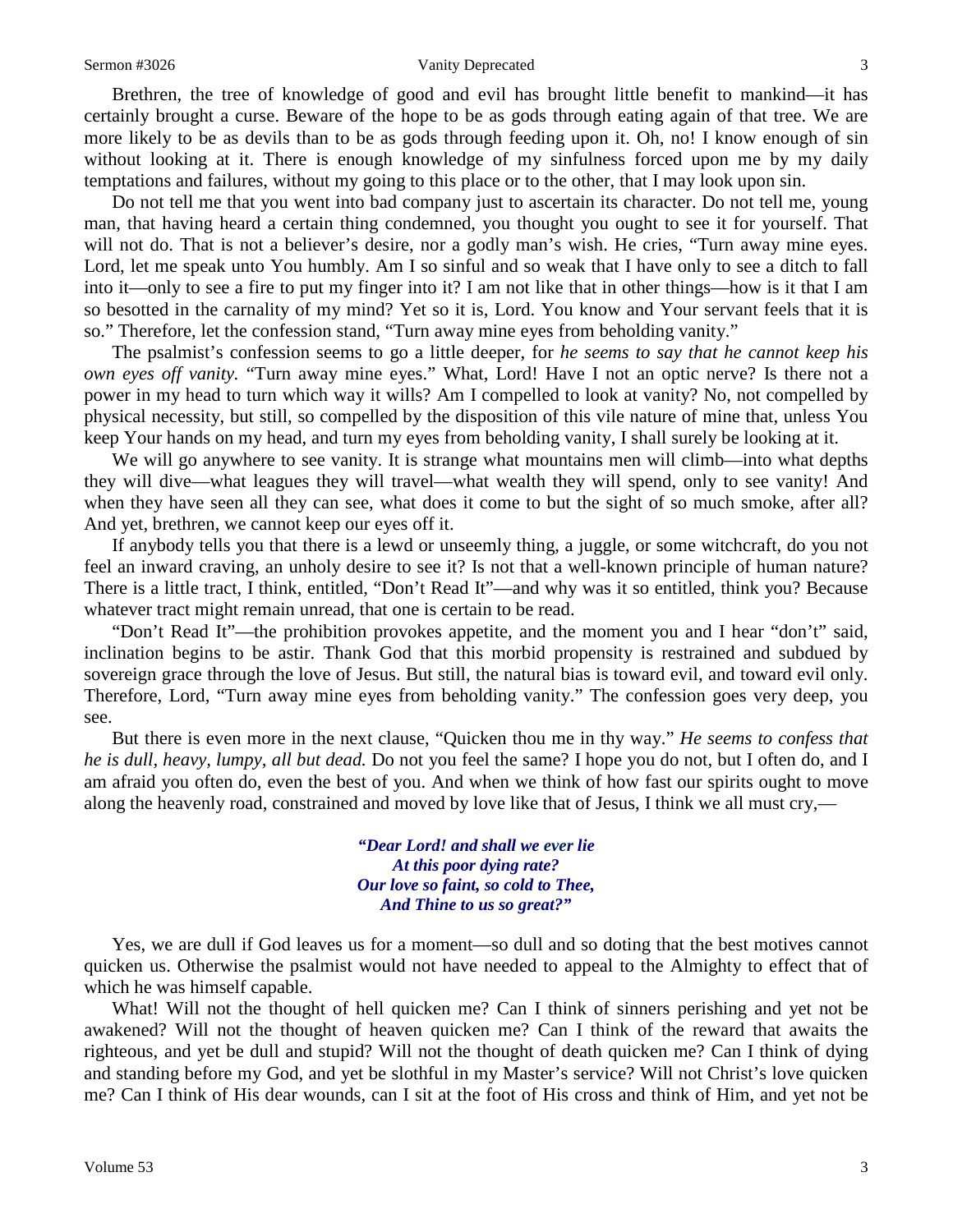#### Sermon #3026 Vanity Deprecated 3

Brethren, the tree of knowledge of good and evil has brought little benefit to mankind—it has certainly brought a curse. Beware of the hope to be as gods through eating again of that tree. We are more likely to be as devils than to be as gods through feeding upon it. Oh, no! I know enough of sin without looking at it. There is enough knowledge of my sinfulness forced upon me by my daily temptations and failures, without my going to this place or to the other, that I may look upon sin.

Do not tell me that you went into bad company just to ascertain its character. Do not tell me, young man, that having heard a certain thing condemned, you thought you ought to see it for yourself. That will not do. That is not a believer's desire, nor a godly man's wish. He cries, "Turn away mine eyes. Lord, let me speak unto You humbly. Am I so sinful and so weak that I have only to see a ditch to fall into it—only to see a fire to put my finger into it? I am not like that in other things—how is it that I am so besotted in the carnality of my mind? Yet so it is, Lord. You know and Your servant feels that it is so." Therefore, let the confession stand, "Turn away mine eyes from beholding vanity."

The psalmist's confession seems to go a little deeper, for *he seems to say that he cannot keep his own eyes off vanity.* "Turn away mine eyes." What, Lord! Have I not an optic nerve? Is there not a power in my head to turn which way it wills? Am I compelled to look at vanity? No, not compelled by physical necessity, but still, so compelled by the disposition of this vile nature of mine that, unless You keep Your hands on my head, and turn my eyes from beholding vanity, I shall surely be looking at it.

We will go anywhere to see vanity. It is strange what mountains men will climb—into what depths they will dive—what leagues they will travel—what wealth they will spend, only to see vanity! And when they have seen all they can see, what does it come to but the sight of so much smoke, after all? And yet, brethren, we cannot keep our eyes off it.

If anybody tells you that there is a lewd or unseemly thing, a juggle, or some witchcraft, do you not feel an inward craving, an unholy desire to see it? Is not that a well-known principle of human nature? There is a little tract, I think, entitled, "Don't Read It"—and why was it so entitled, think you? Because whatever tract might remain unread, that one is certain to be read.

"Don't Read It"—the prohibition provokes appetite, and the moment you and I hear "don't" said, inclination begins to be astir. Thank God that this morbid propensity is restrained and subdued by sovereign grace through the love of Jesus. But still, the natural bias is toward evil, and toward evil only. Therefore, Lord, "Turn away mine eyes from beholding vanity." The confession goes very deep, you see.

But there is even more in the next clause, "Quicken thou me in thy way." *He seems to confess that he is dull, heavy, lumpy, all but dead.* Do not you feel the same? I hope you do not, but I often do, and I am afraid you often do, even the best of you. And when we think of how fast our spirits ought to move along the heavenly road, constrained and moved by love like that of Jesus, I think we all must cry,—

> *"Dear Lord! and shall we ever lie At this poor dying rate? Our love so faint, so cold to Thee, And Thine to us so great?"*

Yes, we are dull if God leaves us for a moment—so dull and so doting that the best motives cannot quicken us. Otherwise the psalmist would not have needed to appeal to the Almighty to effect that of which he was himself capable.

What! Will not the thought of hell quicken me? Can I think of sinners perishing and yet not be awakened? Will not the thought of heaven quicken me? Can I think of the reward that awaits the righteous, and yet be dull and stupid? Will not the thought of death quicken me? Can I think of dying and standing before my God, and yet be slothful in my Master's service? Will not Christ's love quicken me? Can I think of His dear wounds, can I sit at the foot of His cross and think of Him, and yet not be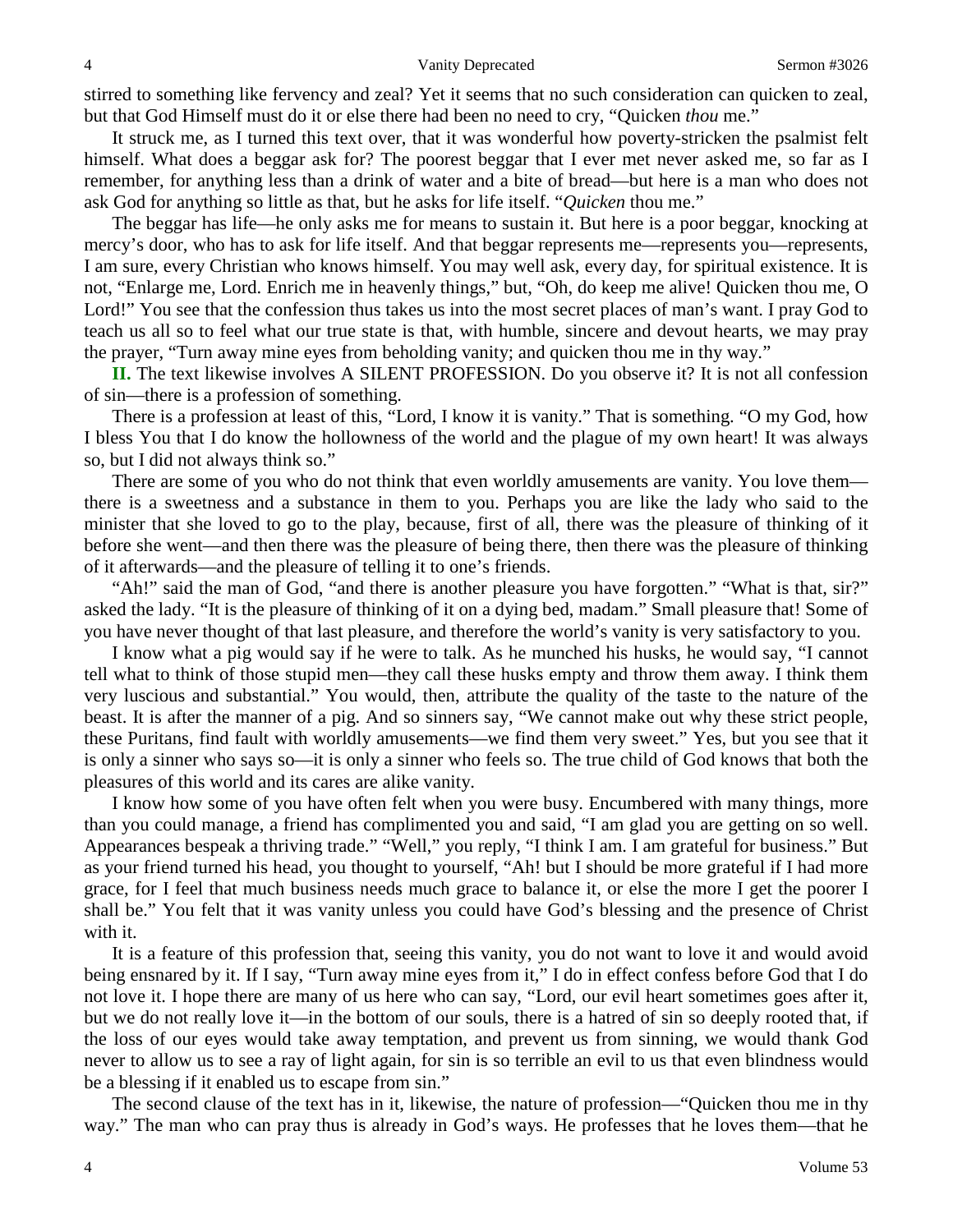stirred to something like fervency and zeal? Yet it seems that no such consideration can quicken to zeal, but that God Himself must do it or else there had been no need to cry, "Quicken *thou* me."

It struck me, as I turned this text over, that it was wonderful how poverty-stricken the psalmist felt himself. What does a beggar ask for? The poorest beggar that I ever met never asked me, so far as I remember, for anything less than a drink of water and a bite of bread—but here is a man who does not ask God for anything so little as that, but he asks for life itself. "*Quicken* thou me."

The beggar has life—he only asks me for means to sustain it. But here is a poor beggar, knocking at mercy's door, who has to ask for life itself. And that beggar represents me—represents you—represents, I am sure, every Christian who knows himself. You may well ask, every day, for spiritual existence. It is not, "Enlarge me, Lord. Enrich me in heavenly things," but, "Oh, do keep me alive! Quicken thou me, O Lord!" You see that the confession thus takes us into the most secret places of man's want. I pray God to teach us all so to feel what our true state is that, with humble, sincere and devout hearts, we may pray the prayer, "Turn away mine eyes from beholding vanity; and quicken thou me in thy way."

**II.** The text likewise involves A SILENT PROFESSION. Do you observe it? It is not all confession of sin—there is a profession of something.

There is a profession at least of this, "Lord, I know it is vanity." That is something. "O my God, how I bless You that I do know the hollowness of the world and the plague of my own heart! It was always so, but I did not always think so."

There are some of you who do not think that even worldly amusements are vanity. You love them there is a sweetness and a substance in them to you. Perhaps you are like the lady who said to the minister that she loved to go to the play, because, first of all, there was the pleasure of thinking of it before she went—and then there was the pleasure of being there, then there was the pleasure of thinking of it afterwards—and the pleasure of telling it to one's friends.

"Ah!" said the man of God, "and there is another pleasure you have forgotten." "What is that, sir?" asked the lady. "It is the pleasure of thinking of it on a dying bed, madam." Small pleasure that! Some of you have never thought of that last pleasure, and therefore the world's vanity is very satisfactory to you.

I know what a pig would say if he were to talk. As he munched his husks, he would say, "I cannot tell what to think of those stupid men—they call these husks empty and throw them away. I think them very luscious and substantial." You would, then, attribute the quality of the taste to the nature of the beast. It is after the manner of a pig. And so sinners say, "We cannot make out why these strict people, these Puritans, find fault with worldly amusements—we find them very sweet." Yes, but you see that it is only a sinner who says so—it is only a sinner who feels so. The true child of God knows that both the pleasures of this world and its cares are alike vanity.

I know how some of you have often felt when you were busy. Encumbered with many things, more than you could manage, a friend has complimented you and said, "I am glad you are getting on so well. Appearances bespeak a thriving trade." "Well," you reply, "I think I am. I am grateful for business." But as your friend turned his head, you thought to yourself, "Ah! but I should be more grateful if I had more grace, for I feel that much business needs much grace to balance it, or else the more I get the poorer I shall be." You felt that it was vanity unless you could have God's blessing and the presence of Christ with it.

It is a feature of this profession that, seeing this vanity, you do not want to love it and would avoid being ensnared by it. If I say, "Turn away mine eyes from it," I do in effect confess before God that I do not love it. I hope there are many of us here who can say, "Lord, our evil heart sometimes goes after it, but we do not really love it—in the bottom of our souls, there is a hatred of sin so deeply rooted that, if the loss of our eyes would take away temptation, and prevent us from sinning, we would thank God never to allow us to see a ray of light again, for sin is so terrible an evil to us that even blindness would be a blessing if it enabled us to escape from sin."

The second clause of the text has in it, likewise, the nature of profession—"Quicken thou me in thy way." The man who can pray thus is already in God's ways. He professes that he loves them—that he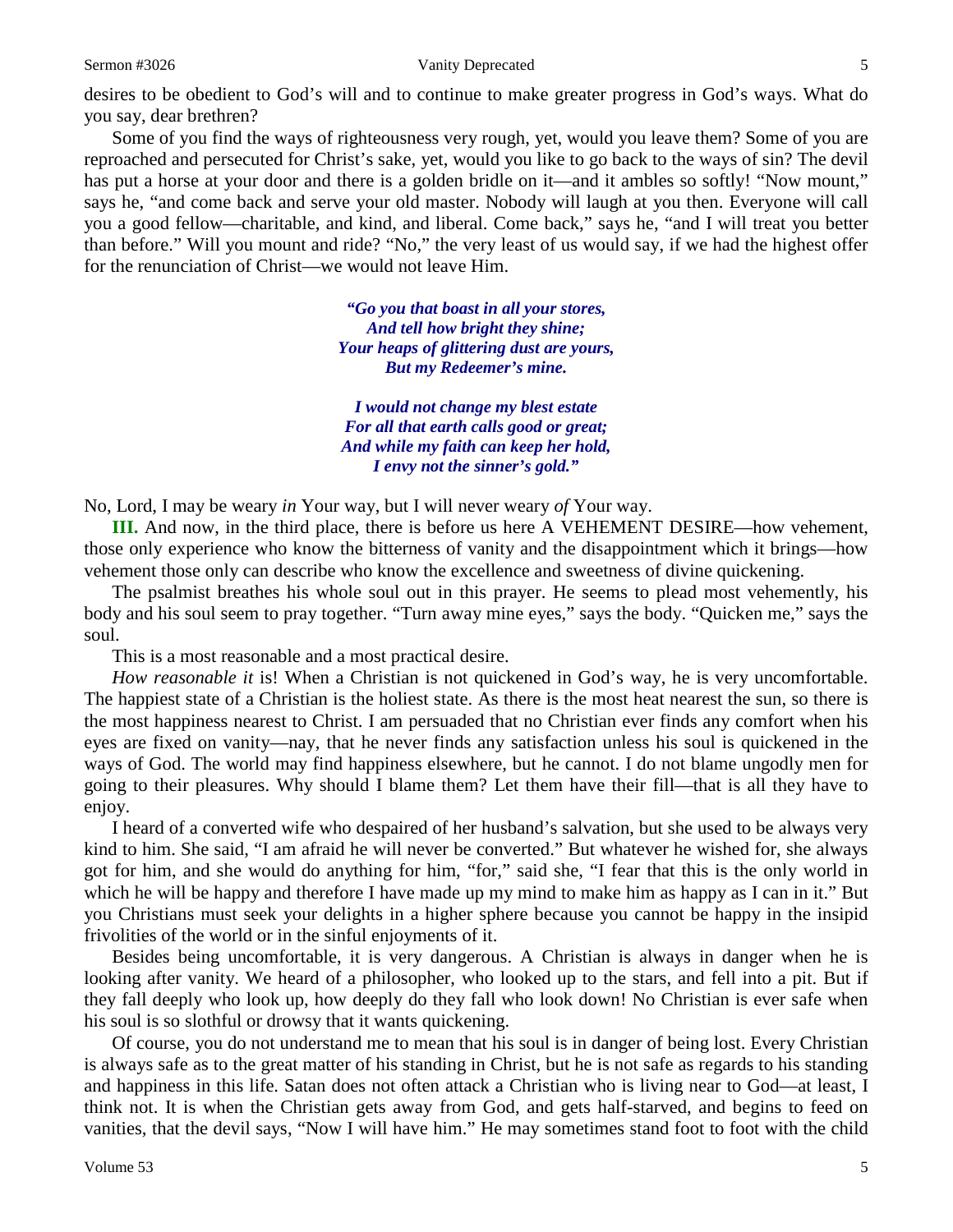#### Sermon #3026 Vanity Deprecated 5

desires to be obedient to God's will and to continue to make greater progress in God's ways. What do you say, dear brethren?

Some of you find the ways of righteousness very rough, yet, would you leave them? Some of you are reproached and persecuted for Christ's sake, yet, would you like to go back to the ways of sin? The devil has put a horse at your door and there is a golden bridle on it—and it ambles so softly! "Now mount," says he, "and come back and serve your old master. Nobody will laugh at you then. Everyone will call you a good fellow—charitable, and kind, and liberal. Come back," says he, "and I will treat you better than before." Will you mount and ride? "No," the very least of us would say, if we had the highest offer for the renunciation of Christ—we would not leave Him.

> *"Go you that boast in all your stores, And tell how bright they shine; Your heaps of glittering dust are yours, But my Redeemer's mine.*

*I would not change my blest estate For all that earth calls good or great; And while my faith can keep her hold, I envy not the sinner's gold."*

No, Lord, I may be weary *in* Your way, but I will never weary *of* Your way.

**III.** And now, in the third place, there is before us here A VEHEMENT DESIRE—how vehement, those only experience who know the bitterness of vanity and the disappointment which it brings—how vehement those only can describe who know the excellence and sweetness of divine quickening.

The psalmist breathes his whole soul out in this prayer. He seems to plead most vehemently, his body and his soul seem to pray together. "Turn away mine eyes," says the body. "Quicken me," says the soul.

This is a most reasonable and a most practical desire.

*How reasonable it* is! When a Christian is not quickened in God's way, he is very uncomfortable. The happiest state of a Christian is the holiest state. As there is the most heat nearest the sun, so there is the most happiness nearest to Christ. I am persuaded that no Christian ever finds any comfort when his eyes are fixed on vanity—nay, that he never finds any satisfaction unless his soul is quickened in the ways of God. The world may find happiness elsewhere, but he cannot. I do not blame ungodly men for going to their pleasures. Why should I blame them? Let them have their fill—that is all they have to enjoy.

I heard of a converted wife who despaired of her husband's salvation, but she used to be always very kind to him. She said, "I am afraid he will never be converted." But whatever he wished for, she always got for him, and she would do anything for him, "for," said she, "I fear that this is the only world in which he will be happy and therefore I have made up my mind to make him as happy as I can in it." But you Christians must seek your delights in a higher sphere because you cannot be happy in the insipid frivolities of the world or in the sinful enjoyments of it.

Besides being uncomfortable, it is very dangerous. A Christian is always in danger when he is looking after vanity. We heard of a philosopher, who looked up to the stars, and fell into a pit. But if they fall deeply who look up, how deeply do they fall who look down! No Christian is ever safe when his soul is so slothful or drowsy that it wants quickening.

Of course, you do not understand me to mean that his soul is in danger of being lost. Every Christian is always safe as to the great matter of his standing in Christ, but he is not safe as regards to his standing and happiness in this life. Satan does not often attack a Christian who is living near to God—at least, I think not. It is when the Christian gets away from God, and gets half-starved, and begins to feed on vanities, that the devil says, "Now I will have him." He may sometimes stand foot to foot with the child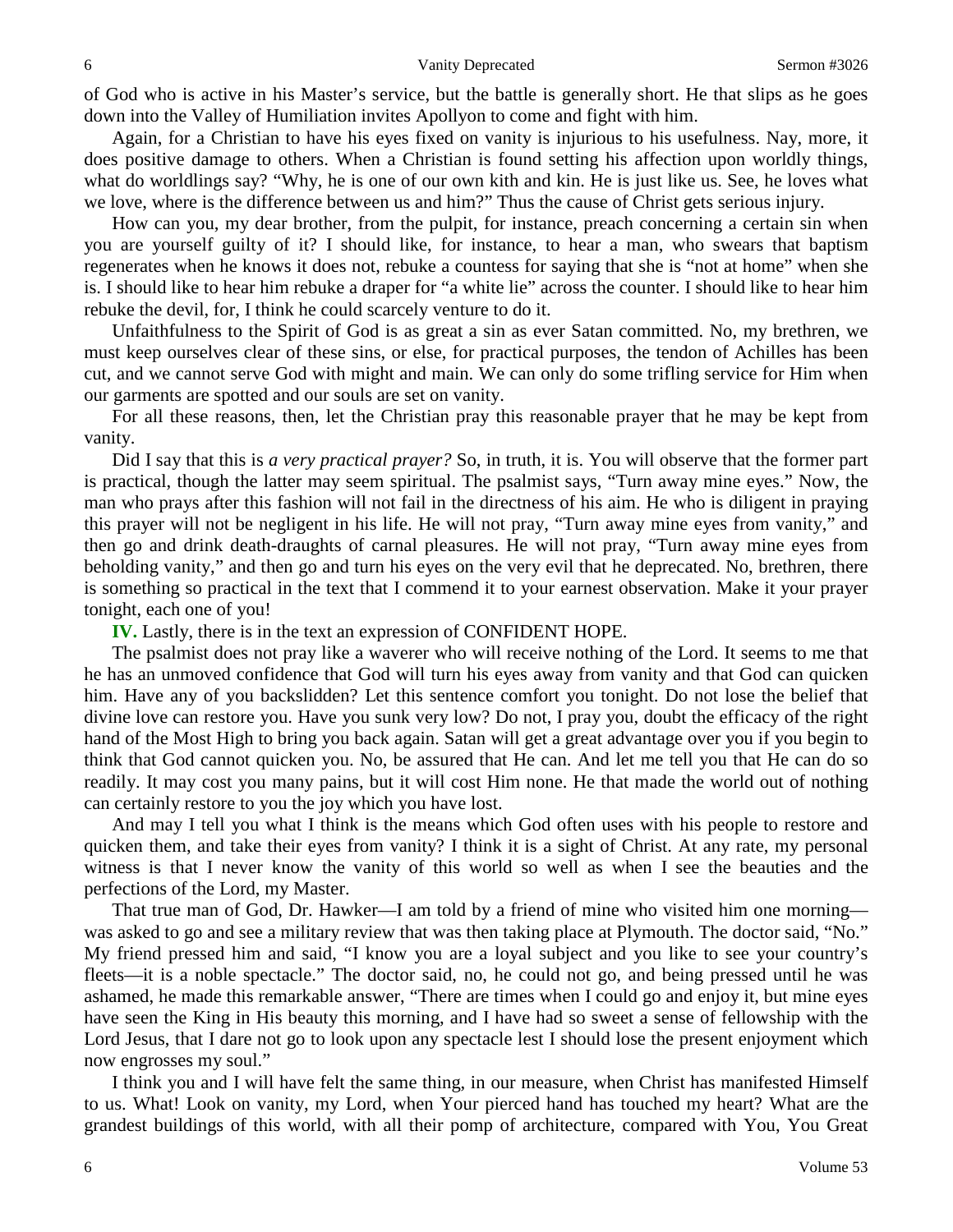of God who is active in his Master's service, but the battle is generally short. He that slips as he goes down into the Valley of Humiliation invites Apollyon to come and fight with him.

Again, for a Christian to have his eyes fixed on vanity is injurious to his usefulness. Nay, more, it does positive damage to others. When a Christian is found setting his affection upon worldly things, what do worldlings say? "Why, he is one of our own kith and kin. He is just like us. See, he loves what we love, where is the difference between us and him?" Thus the cause of Christ gets serious injury.

How can you, my dear brother, from the pulpit, for instance, preach concerning a certain sin when you are yourself guilty of it? I should like, for instance, to hear a man, who swears that baptism regenerates when he knows it does not, rebuke a countess for saying that she is "not at home" when she is. I should like to hear him rebuke a draper for "a white lie" across the counter. I should like to hear him rebuke the devil, for, I think he could scarcely venture to do it.

Unfaithfulness to the Spirit of God is as great a sin as ever Satan committed. No, my brethren, we must keep ourselves clear of these sins, or else, for practical purposes, the tendon of Achilles has been cut, and we cannot serve God with might and main. We can only do some trifling service for Him when our garments are spotted and our souls are set on vanity.

For all these reasons, then, let the Christian pray this reasonable prayer that he may be kept from vanity.

Did I say that this is *a very practical prayer?* So, in truth, it is. You will observe that the former part is practical, though the latter may seem spiritual. The psalmist says, "Turn away mine eyes." Now, the man who prays after this fashion will not fail in the directness of his aim. He who is diligent in praying this prayer will not be negligent in his life. He will not pray, "Turn away mine eyes from vanity," and then go and drink death-draughts of carnal pleasures. He will not pray, "Turn away mine eyes from beholding vanity," and then go and turn his eyes on the very evil that he deprecated. No, brethren, there is something so practical in the text that I commend it to your earnest observation. Make it your prayer tonight, each one of you!

**IV.** Lastly, there is in the text an expression of CONFIDENT HOPE.

The psalmist does not pray like a waverer who will receive nothing of the Lord. It seems to me that he has an unmoved confidence that God will turn his eyes away from vanity and that God can quicken him. Have any of you backslidden? Let this sentence comfort you tonight. Do not lose the belief that divine love can restore you. Have you sunk very low? Do not, I pray you, doubt the efficacy of the right hand of the Most High to bring you back again. Satan will get a great advantage over you if you begin to think that God cannot quicken you. No, be assured that He can. And let me tell you that He can do so readily. It may cost you many pains, but it will cost Him none. He that made the world out of nothing can certainly restore to you the joy which you have lost.

And may I tell you what I think is the means which God often uses with his people to restore and quicken them, and take their eyes from vanity? I think it is a sight of Christ. At any rate, my personal witness is that I never know the vanity of this world so well as when I see the beauties and the perfections of the Lord, my Master.

That true man of God, Dr. Hawker—I am told by a friend of mine who visited him one morning was asked to go and see a military review that was then taking place at Plymouth. The doctor said, "No." My friend pressed him and said, "I know you are a loyal subject and you like to see your country's fleets—it is a noble spectacle." The doctor said, no, he could not go, and being pressed until he was ashamed, he made this remarkable answer, "There are times when I could go and enjoy it, but mine eyes have seen the King in His beauty this morning, and I have had so sweet a sense of fellowship with the Lord Jesus, that I dare not go to look upon any spectacle lest I should lose the present enjoyment which now engrosses my soul."

I think you and I will have felt the same thing, in our measure, when Christ has manifested Himself to us. What! Look on vanity, my Lord, when Your pierced hand has touched my heart? What are the grandest buildings of this world, with all their pomp of architecture, compared with You, You Great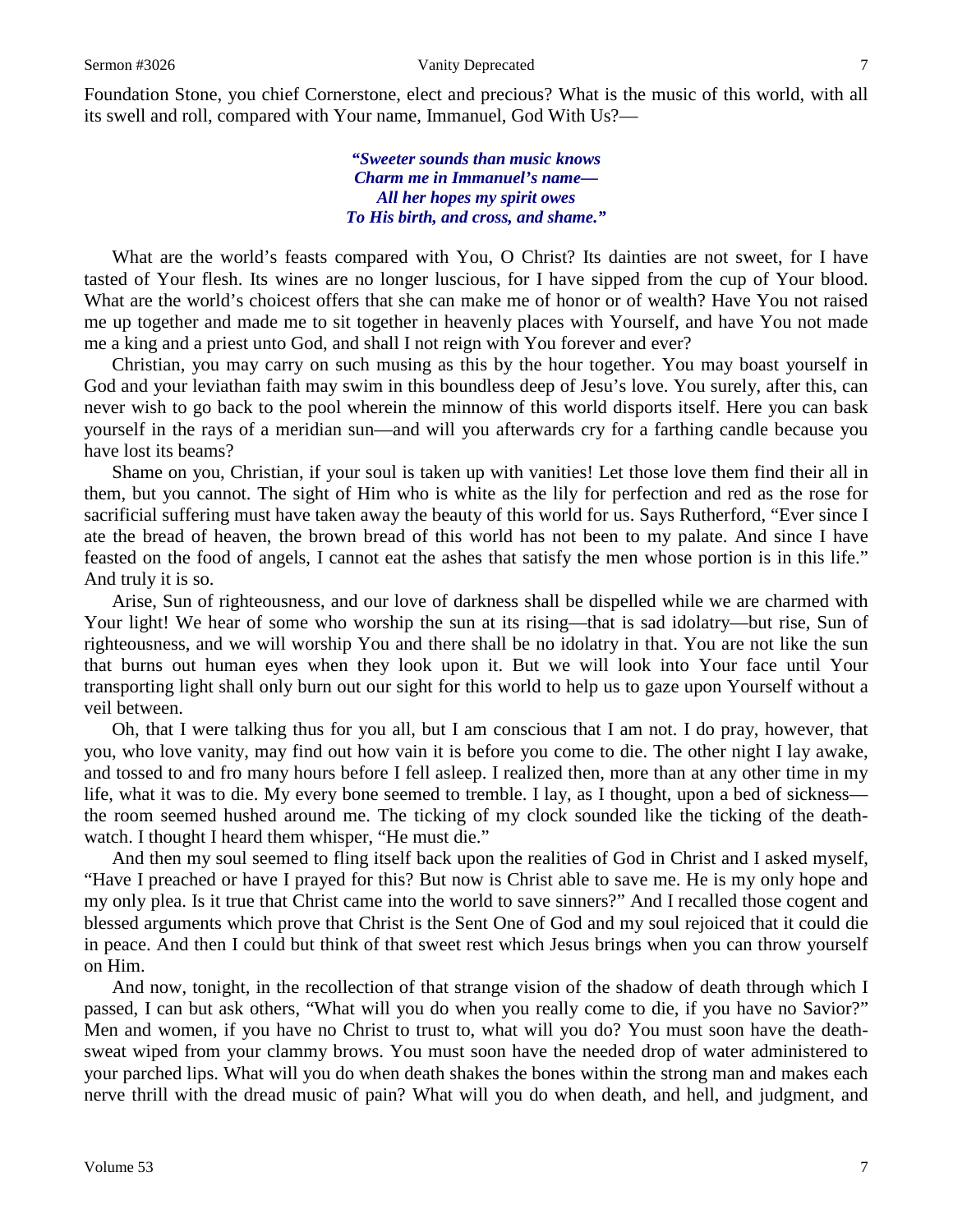Foundation Stone, you chief Cornerstone, elect and precious? What is the music of this world, with all its swell and roll, compared with Your name, Immanuel, God With Us?—

> *"Sweeter sounds than music knows Charm me in Immanuel's name— All her hopes my spirit owes To His birth, and cross, and shame."*

What are the world's feasts compared with You, O Christ? Its dainties are not sweet, for I have tasted of Your flesh. Its wines are no longer luscious, for I have sipped from the cup of Your blood. What are the world's choicest offers that she can make me of honor or of wealth? Have You not raised me up together and made me to sit together in heavenly places with Yourself, and have You not made me a king and a priest unto God, and shall I not reign with You forever and ever?

Christian, you may carry on such musing as this by the hour together. You may boast yourself in God and your leviathan faith may swim in this boundless deep of Jesu's love. You surely, after this, can never wish to go back to the pool wherein the minnow of this world disports itself. Here you can bask yourself in the rays of a meridian sun—and will you afterwards cry for a farthing candle because you have lost its beams?

Shame on you, Christian, if your soul is taken up with vanities! Let those love them find their all in them, but you cannot. The sight of Him who is white as the lily for perfection and red as the rose for sacrificial suffering must have taken away the beauty of this world for us. Says Rutherford, "Ever since I ate the bread of heaven, the brown bread of this world has not been to my palate. And since I have feasted on the food of angels, I cannot eat the ashes that satisfy the men whose portion is in this life." And truly it is so.

Arise, Sun of righteousness, and our love of darkness shall be dispelled while we are charmed with Your light! We hear of some who worship the sun at its rising—that is sad idolatry—but rise, Sun of righteousness, and we will worship You and there shall be no idolatry in that. You are not like the sun that burns out human eyes when they look upon it. But we will look into Your face until Your transporting light shall only burn out our sight for this world to help us to gaze upon Yourself without a veil between.

Oh, that I were talking thus for you all, but I am conscious that I am not. I do pray, however, that you, who love vanity, may find out how vain it is before you come to die. The other night I lay awake, and tossed to and fro many hours before I fell asleep. I realized then, more than at any other time in my life, what it was to die. My every bone seemed to tremble. I lay, as I thought, upon a bed of sickness the room seemed hushed around me. The ticking of my clock sounded like the ticking of the deathwatch. I thought I heard them whisper, "He must die."

And then my soul seemed to fling itself back upon the realities of God in Christ and I asked myself, "Have I preached or have I prayed for this? But now is Christ able to save me. He is my only hope and my only plea. Is it true that Christ came into the world to save sinners?" And I recalled those cogent and blessed arguments which prove that Christ is the Sent One of God and my soul rejoiced that it could die in peace. And then I could but think of that sweet rest which Jesus brings when you can throw yourself on Him.

And now, tonight, in the recollection of that strange vision of the shadow of death through which I passed, I can but ask others, "What will you do when you really come to die, if you have no Savior?" Men and women, if you have no Christ to trust to, what will you do? You must soon have the deathsweat wiped from your clammy brows. You must soon have the needed drop of water administered to your parched lips. What will you do when death shakes the bones within the strong man and makes each nerve thrill with the dread music of pain? What will you do when death, and hell, and judgment, and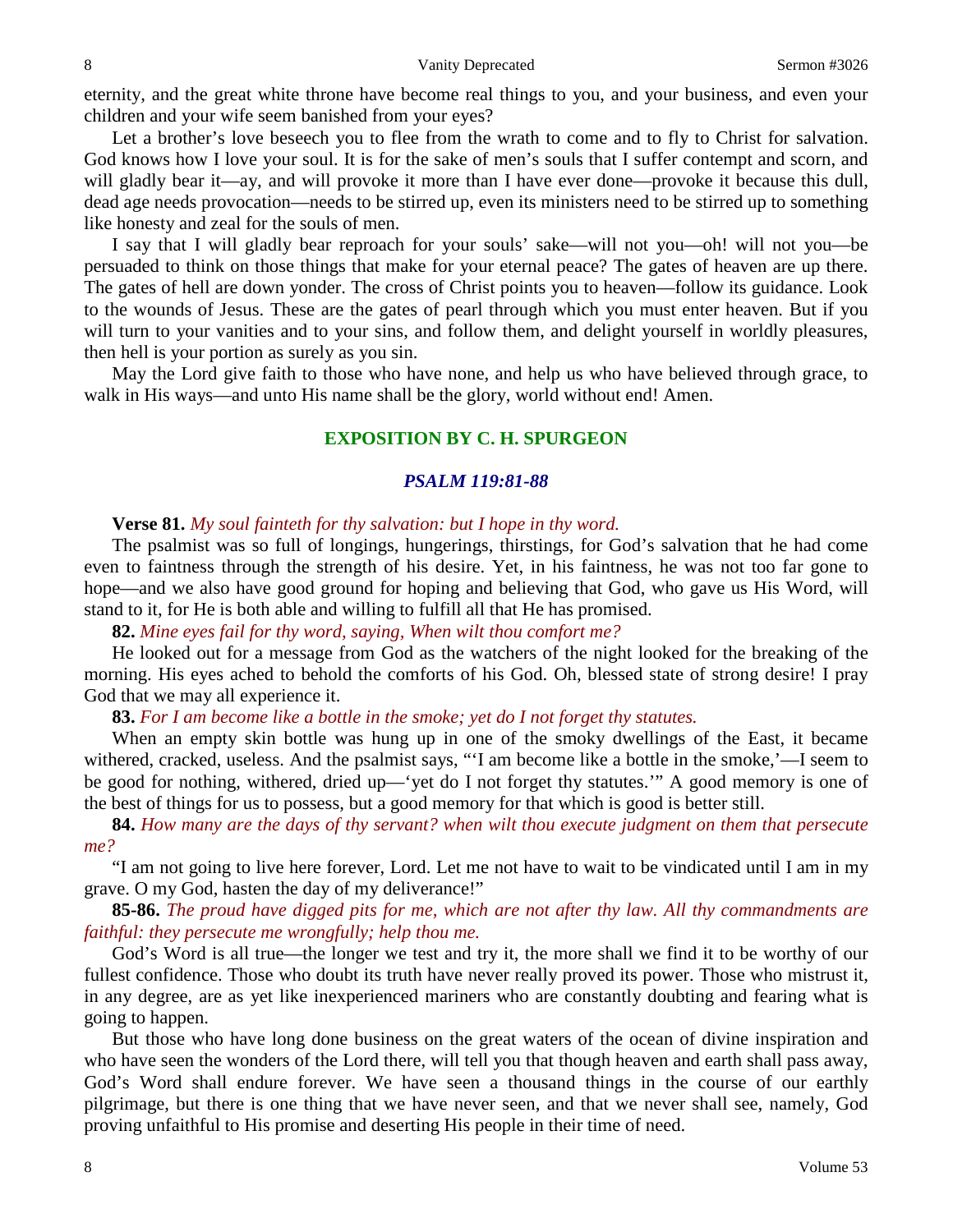eternity, and the great white throne have become real things to you, and your business, and even your children and your wife seem banished from your eyes?

Let a brother's love beseech you to flee from the wrath to come and to fly to Christ for salvation. God knows how I love your soul. It is for the sake of men's souls that I suffer contempt and scorn, and will gladly bear it—ay, and will provoke it more than I have ever done—provoke it because this dull, dead age needs provocation—needs to be stirred up, even its ministers need to be stirred up to something like honesty and zeal for the souls of men.

I say that I will gladly bear reproach for your souls' sake—will not you—oh! will not you—be persuaded to think on those things that make for your eternal peace? The gates of heaven are up there. The gates of hell are down yonder. The cross of Christ points you to heaven—follow its guidance. Look to the wounds of Jesus. These are the gates of pearl through which you must enter heaven. But if you will turn to your vanities and to your sins, and follow them, and delight yourself in worldly pleasures, then hell is your portion as surely as you sin.

May the Lord give faith to those who have none, and help us who have believed through grace, to walk in His ways—and unto His name shall be the glory, world without end! Amen.

## **EXPOSITION BY C. H. SPURGEON**

## *PSALM 119:81-88*

### **Verse 81.** *My soul fainteth for thy salvation: but I hope in thy word.*

The psalmist was so full of longings, hungerings, thirstings, for God's salvation that he had come even to faintness through the strength of his desire. Yet, in his faintness, he was not too far gone to hope—and we also have good ground for hoping and believing that God, who gave us His Word, will stand to it, for He is both able and willing to fulfill all that He has promised.

**82.** *Mine eyes fail for thy word, saying, When wilt thou comfort me?*

He looked out for a message from God as the watchers of the night looked for the breaking of the morning. His eyes ached to behold the comforts of his God. Oh, blessed state of strong desire! I pray God that we may all experience it.

**83.** *For I am become like a bottle in the smoke; yet do I not forget thy statutes.*

When an empty skin bottle was hung up in one of the smoky dwellings of the East, it became withered, cracked, useless. And the psalmist says, "'I am become like a bottle in the smoke,'—I seem to be good for nothing, withered, dried up—'yet do I not forget thy statutes.'" A good memory is one of the best of things for us to possess, but a good memory for that which is good is better still.

**84.** *How many are the days of thy servant? when wilt thou execute judgment on them that persecute me?*

"I am not going to live here forever, Lord. Let me not have to wait to be vindicated until I am in my grave. O my God, hasten the day of my deliverance!"

**85-86.** *The proud have digged pits for me, which are not after thy law. All thy commandments are faithful: they persecute me wrongfully; help thou me.*

God's Word is all true—the longer we test and try it, the more shall we find it to be worthy of our fullest confidence. Those who doubt its truth have never really proved its power. Those who mistrust it, in any degree, are as yet like inexperienced mariners who are constantly doubting and fearing what is going to happen.

But those who have long done business on the great waters of the ocean of divine inspiration and who have seen the wonders of the Lord there, will tell you that though heaven and earth shall pass away, God's Word shall endure forever. We have seen a thousand things in the course of our earthly pilgrimage, but there is one thing that we have never seen, and that we never shall see, namely, God proving unfaithful to His promise and deserting His people in their time of need.